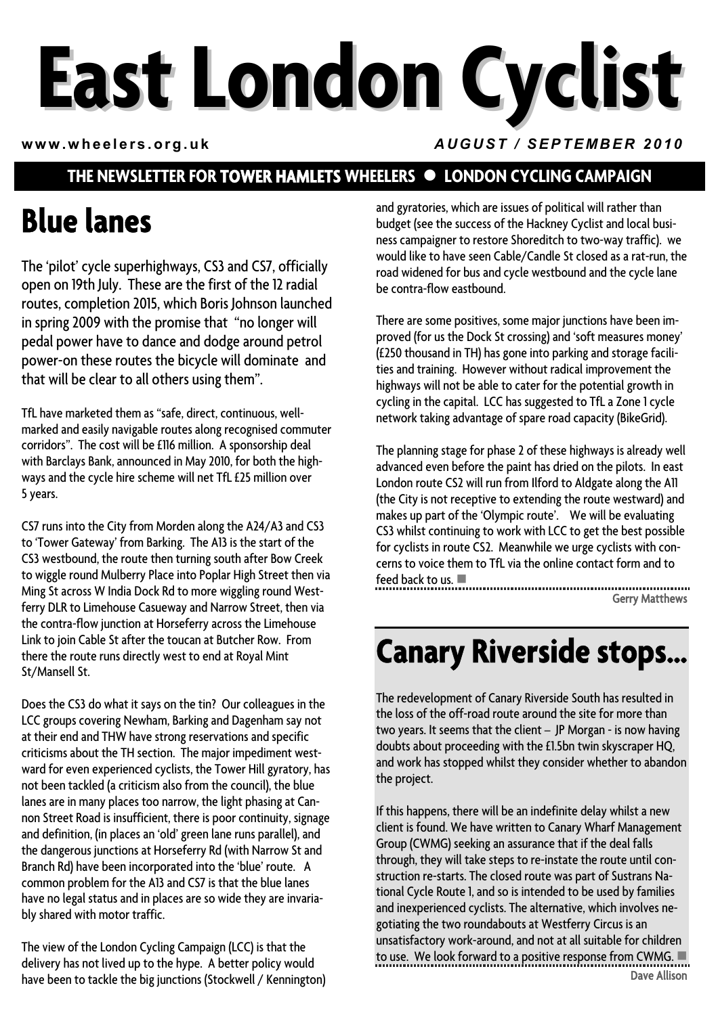# **East London Cyclist**

#### **www.wheelers.org.uk** *AUGUST / SEPTEMBER 2010*

#### **THE NEWSLETTER FOR TOWER HAMLETS WHEELERS**  $\bullet$  **LONDON CYCLING CAMPAIGN**

# **Blue lanes**

The 'pilot' cycle superhighways, CS3 and CS7, officially open on 19th July. These are the first of the 12 radial routes, completion 2015, which Boris Johnson launched in spring 2009 with the promise that "no longer will pedal power have to dance and dodge around petrol power-on these routes the bicycle will dominate and that will be clear to all others using them".

TfL have marketed them as "safe, direct, continuous, wellmarked and easily navigable routes along recognised commuter corridors". The cost will be £116 million. A sponsorship deal with Barclays Bank, announced in May 2010, for both the highways and the cycle hire scheme will net TfL £25 million over 5years.

CS7 runs into the City from Morden along the A24/A3 and CS3 to 'Tower Gateway' from Barking. The A13 is the start of the CS3 westbound, the route then turning south after Bow Creek to wiggle round Mulberry Place into Poplar High Street then via Ming St across W India Dock Rd to more wiggling round Westferry DLR to Limehouse Casueway and Narrow Street, then via the contra-flow junction at Horseferry across the Limehouse Link to join Cable St after the toucan at Butcher Row. From there the route runs directly west to end at Royal Mint St/Mansell St.

Does the CS3 do what it says on the tin? Our colleagues in the LCC groups covering Newham, Barking and Dagenham say not at their end and THW have strong reservations and specific criticisms about the TH section. The major impediment westward for even experienced cyclists, the Tower Hill gyratory, has not been tackled (a criticism also from the council), the blue lanes are in many places too narrow, the light phasing at Cannon Street Road is insufficient, there is poor continuity, signage and definition, (in places an 'old' green lane runs parallel), and the dangerous junctions at Horseferry Rd (with Narrow St and Branch Rd) have been incorporated into the 'blue' route. A common problem for the A13 and CS7 is that the blue lanes have no legal status and in places are so wide they are invariably shared with motor traffic.

The view of the London Cycling Campaign (LCC) is that the delivery has not lived up to the hype. A better policy would have been to tackle the big junctions (Stockwell / Kennington) and gyratories, which are issues of political will rather than budget (see the success of the Hackney Cyclist and local business campaigner to restore Shoreditch to two-way traffic). we would like to have seen Cable/Candle St closed as a rat-run, the road widened for bus and cycle westbound and the cycle lane be contra-flow eastbound.

There are some positives, some major junctions have been improved (for us the Dock St crossing) and 'soft measures money' (£250 thousand in TH) has gone into parking and storage facilities and training. However without radical improvement the highways will not be able to cater for the potential growth in cycling in the capital. LCC has suggested to TfL a Zone 1 cycle network taking advantage of spare road capacity (BikeGrid).

The planning stage for phase 2 of these highways is already well advanced even before the paint has dried on the pilots. In east London route CS2 will run from Ilford to Aldgate along the A11 (the City is not receptive to extending the route westward) and makes up part of the 'Olympic route'. We will be evaluating CS3 whilst continuing to work with LCC to get the best possible for cyclists in route CS2. Meanwhile we urge cyclists with concerns to voice them to TfL via the online contact form and to feed back to us.  $\blacksquare$ 

Gerry Matthews

## **Canary Riverside stops…**

The redevelopment of Canary Riverside South has resulted in the loss of the off-road route around the site for more than two years. It seems that the client – JP Morgan - is now having doubts about proceeding with the £1.5bn twin skyscraper HQ, and work has stopped whilst they consider whether to abandon the project.

If this happens, there will be an indefinite delay whilst a new client is found. We have written to Canary Wharf Management Group (CWMG) seeking an assurance that if the deal falls through, they will take steps to re-instate the route until construction re-starts. The closed route was part of Sustrans National Cycle Route 1, and so is intended to be used by families and inexperienced cyclists. The alternative, which involves negotiating the two roundabouts at Westferry Circus is an unsatisfactory work-around, and not at all suitable for children to use. We look forward to a positive response from CWMG.  $\blacksquare$ Dave Allison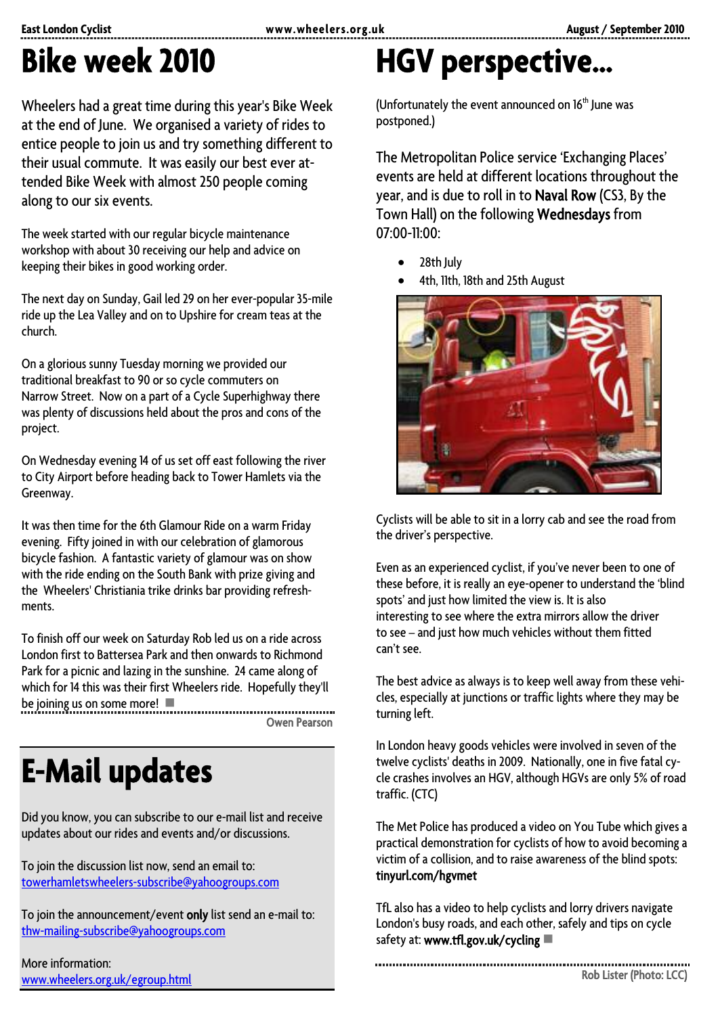# **Bike week 2010**

Wheelers had a great time during this year's Bike Week at the end of June. We organised a variety of rides to entice people to join us and try something different to their usual commute. It was easily our best ever attended Bike Week with almost 250 people coming along to our six events.

The week started with our regular bicycle maintenance workshop with about 30 receiving our help and advice on keeping their bikes in good working order.

The next day on Sunday, Gail led 29 on her ever-popular 35-mile ride up the Lea Valley and on to Upshire for cream teas at the church.

On a glorious sunny Tuesday morning we provided our traditional breakfast to 90 or so cycle commuters on Narrow Street. Now on a part of a Cycle Superhighway there was plenty of discussions held about the pros and cons of the project.

On Wednesday evening 14 of us set off east following the river to City Airport before heading back to Tower Hamlets via the Greenway.

It was then time for the 6th Glamour Ride on a warm Friday evening. Fifty joined in with our celebration of glamorous bicycle fashion. A fantastic variety of glamour was on show with the ride ending on the South Bank with prize giving and the Wheelers' Christiania trike drinks bar providing refreshments.

To finish off our week on Saturday Rob led us on a ride across London first to Battersea Park and then onwards to Richmond Park for a picnic and lazing in the sunshine. 24 came along of which for 14 this was their first Wheelers ride. Hopefully they'll be joining us on some more!  $\blacksquare$ . . . . . . . . . . . . . . . . .

Owen Pearson

# **E-Mail updates**

Did you know, you can subscribe to our e-mail list and receive updates about our rides and events and/or discussions.

To join the discussion list now, send an email to: [towerhamletswheelers-subscribe@yahoogroups.com](mailto:towerhamletswheelers-subscribe@yahoogroups.com)

To join the announcement/event only list send an e-mail to: [thw-mailing-subscribe@yahoogroups.com](mailto:thw-mailing-subscribe@yahoogroups.com)

More information: [www.wheelers.org.uk/egroup.html](http://www.wheelers.org.uk/egroup.html)

# **HGV perspective…**

(Unfortunately the event announced on  $16<sup>th</sup>$  June was postponed.)

The Metropolitan Police service 'Exchanging Places' events are held at different locations throughout the year, and is due to roll in to Naval Row (CS3, By the Town Hall) on the following Wednesdays from 07:00-11:00:

- 28th July
- 4th, 11th, 18th and 25th August



Cyclists will be able to sit in a lorry cab and see the road from the driver's perspective.

Even as an experienced cyclist, if you've never been to one of these before, it is really an eye-opener to understand the 'blind spots' and just how limited the view is. It is also interesting to see where the extra mirrors allow the driver to see – and just how much vehicles without them fitted can't see.

The best advice as always is to keep well away from these vehicles, especially at junctions or traffic lights where they may be turning left.

In London heavy goods vehicles were involved in seven of the twelve cyclists' deaths in 2009. Nationally, one in five fatal cycle crashes involves an HGV, although HGVs are only 5% of road traffic. (CTC)

The Met Police has produced a video on You Tube which gives a practical demonstration for cyclists of how to avoid becoming a victim of a collision, and to raise awareness of the blind spots: tinyurl.com/hgvmet

TfL also has a video to help cyclists and lorry drivers navigate London's busy roads, and each other, safely and tips on cycle safety at: **www.tfl.gov.uk/cycling**  $\blacksquare$ 

Rob Lister (Photo: LCC)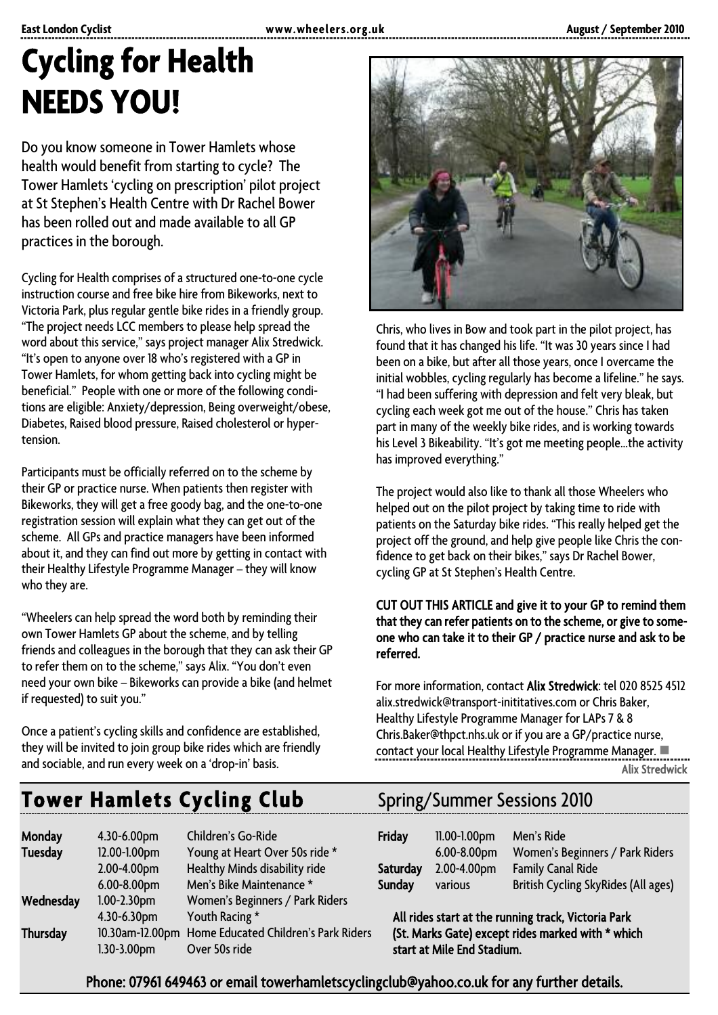# **Cycling for Health NEEDS YOU!**

Do you know someone in Tower Hamlets whose health would benefit from starting to cycle? The Tower Hamlets 'cycling on prescription' pilot project at St Stephen's Health Centre with Dr Rachel Bower has been rolled out and made available to all GP practices in the borough.

Cycling for Health comprises of a structured one-to-one cycle instruction course and free bike hire from Bikeworks, next to Victoria Park, plus regular gentle bike rides in a friendly group. "The project needs LCC members to please help spread the word about this service," says project manager Alix Stredwick. "It's open to anyone over 18 who's registered with a GP in Tower Hamlets, for whom getting back into cycling might be beneficial." People with one or more of the following conditions are eligible: Anxiety/depression, Being overweight/obese, Diabetes, Raised blood pressure, Raised cholesterol or hypertension.

Participants must be officially referred on to the scheme by their GP or practice nurse. When patients then register with Bikeworks, they will get a free goody bag, and the one-to-one registration session will explain what they can get out of the scheme. All GPs and practice managers have been informed about it, and they can find out more by getting in contact with their Healthy Lifestyle Programme Manager – they will know who they are.

"Wheelers can help spread the word both by reminding their own Tower Hamlets GP about the scheme, and by telling friends and colleagues in the borough that they can ask their GP to refer them on to the scheme," says Alix. "You don't even need your own bike – Bikeworks can provide a bike (and helmet if requested) to suit you."

Once a patient's cycling skills and confidence are established, they will be invited to join group bike rides which are friendly and sociable, and run every week on a 'drop-in' basis.



Chris, who lives in Bow and took part in the pilot project, has found that it has changed his life. "It was 30 years since I had been on a bike, but after all those years, once I overcame the initial wobbles, cycling regularly has become a lifeline." he says. "I had been suffering with depression and felt very bleak, but cycling each week got me out of the house." Chris has taken part in many of the weekly bike rides, and is working towards his Level 3 Bikeability. "It's got me meeting people…the activity has improved everything."

The project would also like to thank all those Wheelers who helped out on the pilot project by taking time to ride with patients on the Saturday bike rides. "This really helped get the project off the ground, and help give people like Chris the confidence to get back on their bikes," says Dr Rachel Bower, cycling GP at St Stephen's Health Centre.

#### CUT OUT THIS ARTICLE and give it to your GP to remind them that they can refer patients on to the scheme, or give to someone who can take it to their GP / practice nurse and ask to be referred.

For more information, contact Alix Stredwick: tel 020 8525 4512 alix.stredwick@transport-inititatives.com or Chris Baker, Healthy Lifestyle Programme Manager for LAPs 7 & 8 Chris.Baker@thpct.nhs.uk or if you are a GP/practice nurse, contact your local Healthy Lifestyle Programme Manager. Alix Stredwick

### **Tower Hamlets Cycling Club** Spring/Summer Sessions 2010

| <b>Monday</b><br><b>Tuesday</b> | 4.30-6.00pm<br>12.00-1.00pm<br>2.00-4.00pm | Children's Go-Ride<br>Young at Heart Over 50s ride *<br>Healthy Minds disability ride | <b>Friday</b><br>Saturday                                                       | 11.00-1.00pm<br>$6.00 - 8.00$ pm<br>2.00-4.00pm | Men's Ride<br>Women's Beginners / Park Riders<br><b>Family Canal Ride</b> |
|---------------------------------|--------------------------------------------|---------------------------------------------------------------------------------------|---------------------------------------------------------------------------------|-------------------------------------------------|---------------------------------------------------------------------------|
|                                 | 6.00-8.00pm                                | Men's Bike Maintenance *                                                              | <b>Sunday</b>                                                                   | various                                         | British Cycling SkyRides (All ages)                                       |
| Wednesday                       | $1.00 - 2.30$ pm                           | Women's Beginners / Park Riders                                                       |                                                                                 |                                                 |                                                                           |
|                                 | 4.30-6.30pm                                | Youth Racing *                                                                        | All rides start at the running track, Victoria Park                             |                                                 |                                                                           |
| <b>Thursday</b>                 | $1.30 - 3.00$ pm                           | 10.30am-12.00pm Home Educated Children's Park Riders<br>Over 50s ride                 | (St. Marks Gate) except rides marked with * which<br>start at Mile End Stadium. |                                                 |                                                                           |

| Children's Go-Ride             | <b>Friday</b> | $11.00 - 1.00$ pm | Men's Ride                          |
|--------------------------------|---------------|-------------------|-------------------------------------|
| Young at Heart Over 50s ride * |               | $6.00 - 8.00$ pm  | Women's Beginners / Park Riders     |
| Healthy Minds disability ride  |               |                   | <b>Family Canal Ride</b>            |
| Men's Bike Maintenance *       | <b>Sunday</b> | various           | British Cycling SkyRides (All ages) |
|                                |               |                   | Saturday 2.00-4.00pm                |

Phone: 07961 649463 or email towerhamletscyclingclub@yahoo.co.uk for any further details.